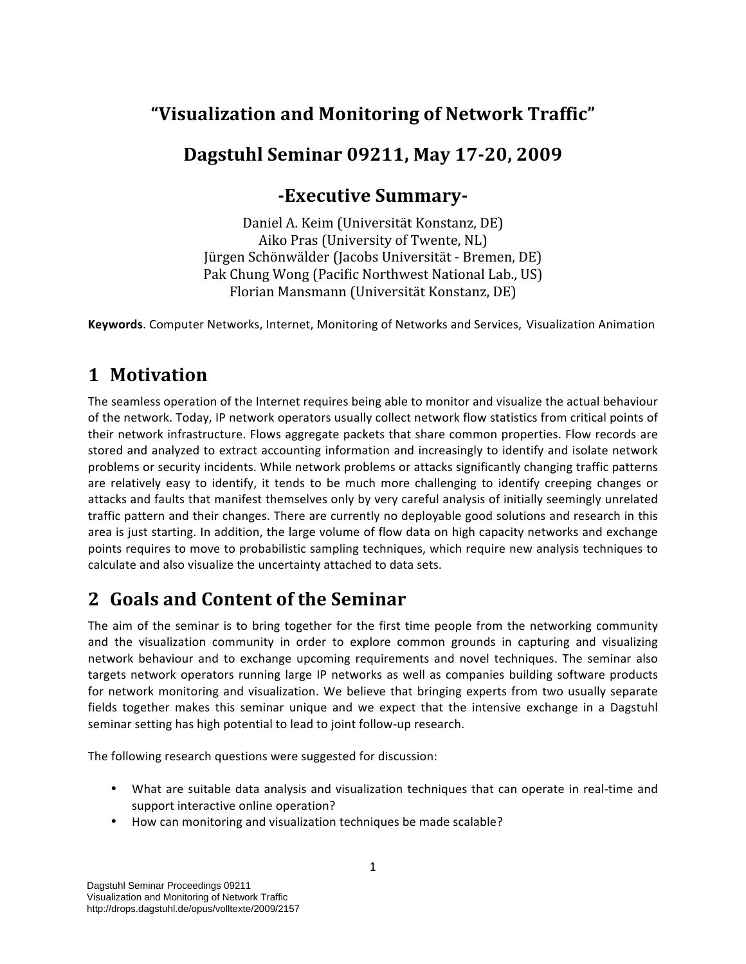## **"Visualization and Monitoring of Network Traffic"**

## Dagstuhl Seminar 09211, May 17-20, 2009

## **Executive Summary**

Daniel A. Keim (Universität Konstanz, DE) Aiko Pras (University of Twente, NL) Jürgen Schönwälder (Jacobs Universität ‐ Bremen, DE) Pak Chung Wong (Pacific Northwest National Lab., US) Florian Mansmann (Universität Konstanz, DE)

**Keywords**. Computer Networks, Internet, Monitoring of Networks and Services, Visualization Animation

## **1 Motivation**

The seamless operation of the Internet requires being able to monitor and visualize the actual behaviour of the network. Today, IP network operators usually collect network flow statistics from critical points of their network infrastructure. Flows aggregate packets that share common properties. Flow records are stored and analyzed to extract accounting information and increasingly to identify and isolate network problems or security incidents. While network problems or attacks significantly changing traffic patterns are relatively easy to identify, it tends to be much more challenging to identify creeping changes or attacks and faults that manifest themselves only by very careful analysis of initially seemingly unrelated traffic pattern and their changes. There are currently no deployable good solutions and research in this area is just starting. In addition, the large volume of flow data on high capacity networks and exchange points requires to move to probabilistic sampling techniques, which require new analysis techniques to calculate and also visualize the uncertainty attached to data sets.

# **2 Goals and Content of the Seminar**

The aim of the seminar is to bring together for the first time people from the networking community and the visualization community in order to explore common grounds in capturing and visualizing network behaviour and to exchange upcoming requirements and novel techniques. The seminar also targets network operators running large IP networks as well as companies building software products for network monitoring and visualization. We believe that bringing experts from two usually separate fields together makes this seminar unique and we expect that the intensive exchange in a Dagstuhl seminar setting has high potential to lead to joint follow‐up research.

The following research questions were suggested for discussion:

- What are suitable data analysis and visualization techniques that can operate in real-time and support interactive online operation?
- How can monitoring and visualization techniques be made scalable?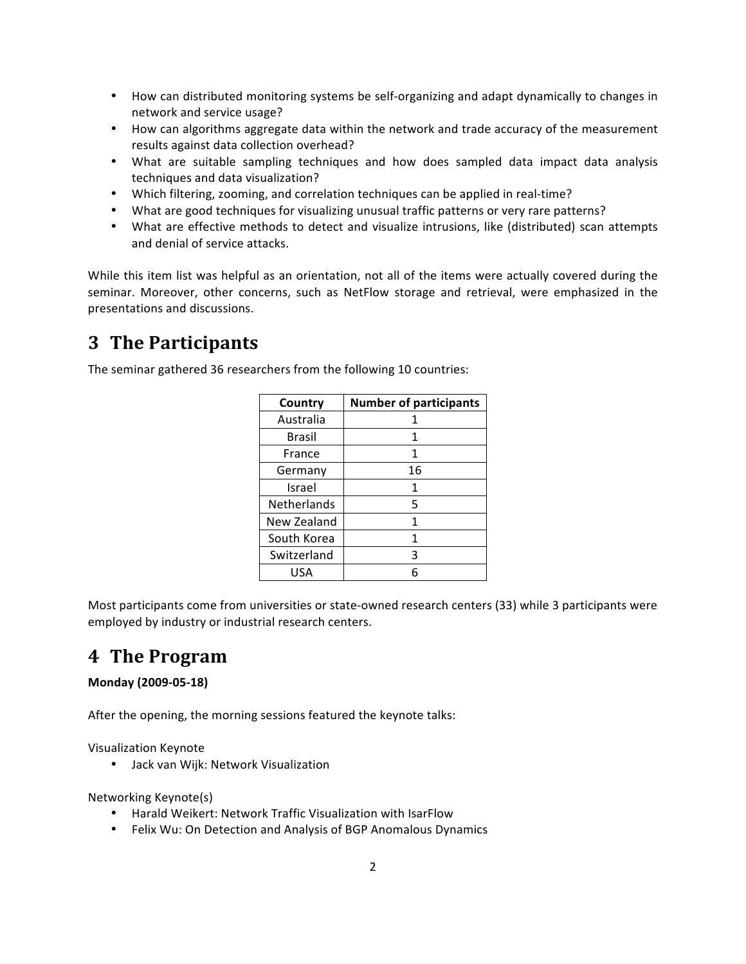- How can distributed monitoring systems be self-organizing and adapt dynamically to changes in network and service usage?
- How can algorithms aggregate data within the network and trade accuracy of the measurement results against data collection overhead?
- What are suitable sampling techniques and how does sampled data impact data analysis techniques and data visualization?
- Which filtering, zooming, and correlation techniques can be applied in real-time?
- What are good techniques for visualizing unusual traffic patterns or very rare patterns?
- What are effective methods to detect and visualize intrusions, like (distributed) scan attempts and denial of service attacks.

While this item list was helpful as an orientation, not all of the items were actually covered during the seminar. Moreover, other concerns, such as NetFlow storage and retrieval, were emphasized in the presentations and discussions.

### **3 The Participants**

The seminar gathered 36 researchers from the following 10 countries:

| Country     | <b>Number of participants</b> |
|-------------|-------------------------------|
| Australia   |                               |
| Brasil      | 1                             |
| France      | 1                             |
| Germany     | 16                            |
| Israel      | 1                             |
| Netherlands | 5                             |
| New Zealand | 1                             |
| South Korea | 1                             |
| Switzerland | 3                             |
| USA         |                               |

Most participants come from universities or state‐owned research centers (33) while 3 participants were employed by industry or industrial research centers.

### **4 The Program**

#### **Monday (2009‐05‐18)**

After the opening, the morning sessions featured the keynote talks:

Visualization Keynote

• Jack van Wijk: Network Visualization

Networking Keynote(s)

- Harald Weikert: Network Traffic Visualization with IsarFlow
- Felix Wu: On Detection and Analysis of BGP Anomalous Dynamics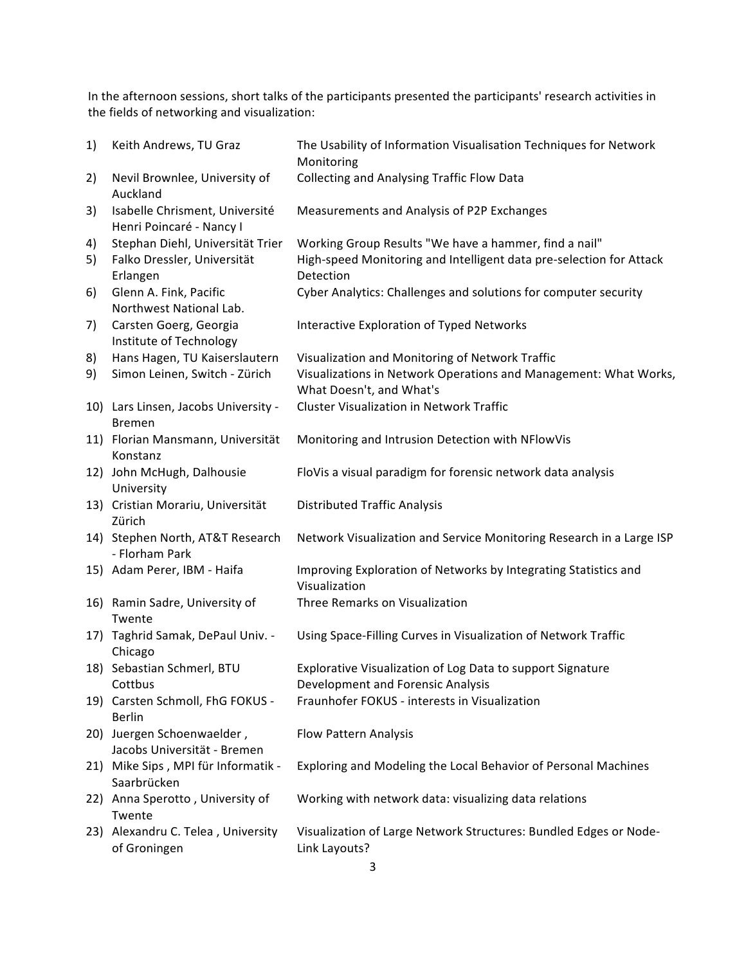In the afternoon sessions, short talks of the participants presented the participants' research activities in the fields of networking and visualization:

| 1) | Keith Andrews, TU Graz                                     | The Usability of Information Visualisation Techniques for Network<br>Monitoring                 |
|----|------------------------------------------------------------|-------------------------------------------------------------------------------------------------|
| 2) | Nevil Brownlee, University of<br>Auckland                  | <b>Collecting and Analysing Traffic Flow Data</b>                                               |
| 3) | Isabelle Chrisment, Université<br>Henri Poincaré - Nancy I | Measurements and Analysis of P2P Exchanges                                                      |
| 4) | Stephan Diehl, Universität Trier                           | Working Group Results "We have a hammer, find a nail"                                           |
| 5) | Falko Dressler, Universität<br>Erlangen                    | High-speed Monitoring and Intelligent data pre-selection for Attack<br>Detection                |
| 6) | Glenn A. Fink, Pacific<br>Northwest National Lab.          | Cyber Analytics: Challenges and solutions for computer security                                 |
| 7) | Carsten Goerg, Georgia<br>Institute of Technology          | Interactive Exploration of Typed Networks                                                       |
| 8) | Hans Hagen, TU Kaiserslautern                              | Visualization and Monitoring of Network Traffic                                                 |
| 9) | Simon Leinen, Switch - Zürich                              | Visualizations in Network Operations and Management: What Works,<br>What Doesn't, and What's    |
|    | 10) Lars Linsen, Jacobs University -<br><b>Bremen</b>      | <b>Cluster Visualization in Network Traffic</b>                                                 |
|    | 11) Florian Mansmann, Universität<br>Konstanz              | Monitoring and Intrusion Detection with NFlowVis                                                |
|    | 12) John McHugh, Dalhousie<br>University                   | FloVis a visual paradigm for forensic network data analysis                                     |
|    | 13) Cristian Morariu, Universität<br>Zürich                | <b>Distributed Traffic Analysis</b>                                                             |
|    | 14) Stephen North, AT&T Research<br>- Florham Park         | Network Visualization and Service Monitoring Research in a Large ISP                            |
|    | 15) Adam Perer, IBM - Haifa                                | Improving Exploration of Networks by Integrating Statistics and<br>Visualization                |
|    | 16) Ramin Sadre, University of<br>Twente                   | Three Remarks on Visualization                                                                  |
|    | 17) Taghrid Samak, DePaul Univ. -<br>Chicago               | Using Space-Filling Curves in Visualization of Network Traffic                                  |
|    | 18) Sebastian Schmerl, BTU<br>Cottbus                      | Explorative Visualization of Log Data to support Signature<br>Development and Forensic Analysis |
|    | 19) Carsten Schmoll, FhG FOKUS -<br><b>Berlin</b>          | Fraunhofer FOKUS - interests in Visualization                                                   |
|    | 20) Juergen Schoenwaelder,<br>Jacobs Universität - Bremen  | Flow Pattern Analysis                                                                           |
|    | 21) Mike Sips, MPI für Informatik -<br>Saarbrücken         | Exploring and Modeling the Local Behavior of Personal Machines                                  |
|    | 22) Anna Sperotto, University of<br>Twente                 | Working with network data: visualizing data relations                                           |
|    | 23) Alexandru C. Telea, University<br>of Groningen         | Visualization of Large Network Structures: Bundled Edges or Node-<br>Link Layouts?              |